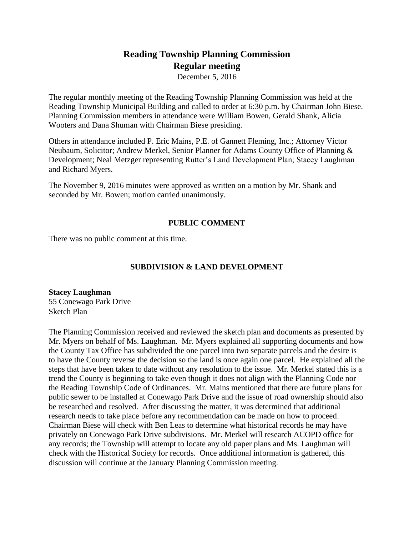# **Reading Township Planning Commission Regular meeting**

December 5, 2016

The regular monthly meeting of the Reading Township Planning Commission was held at the Reading Township Municipal Building and called to order at 6:30 p.m. by Chairman John Biese. Planning Commission members in attendance were William Bowen, Gerald Shank, Alicia Wooters and Dana Shuman with Chairman Biese presiding.

Others in attendance included P. Eric Mains, P.E. of Gannett Fleming, Inc.; Attorney Victor Neubaum, Solicitor; Andrew Merkel, Senior Planner for Adams County Office of Planning & Development; Neal Metzger representing Rutter's Land Development Plan; Stacey Laughman and Richard Myers.

The November 9, 2016 minutes were approved as written on a motion by Mr. Shank and seconded by Mr. Bowen; motion carried unanimously.

# **PUBLIC COMMENT**

There was no public comment at this time.

# **SUBDIVISION & LAND DEVELOPMENT**

**Stacey Laughman**  55 Conewago Park Drive Sketch Plan

The Planning Commission received and reviewed the sketch plan and documents as presented by Mr. Myers on behalf of Ms. Laughman. Mr. Myers explained all supporting documents and how the County Tax Office has subdivided the one parcel into two separate parcels and the desire is to have the County reverse the decision so the land is once again one parcel. He explained all the steps that have been taken to date without any resolution to the issue. Mr. Merkel stated this is a trend the County is beginning to take even though it does not align with the Planning Code nor the Reading Township Code of Ordinances. Mr. Mains mentioned that there are future plans for public sewer to be installed at Conewago Park Drive and the issue of road ownership should also be researched and resolved. After discussing the matter, it was determined that additional research needs to take place before any recommendation can be made on how to proceed. Chairman Biese will check with Ben Leas to determine what historical records he may have privately on Conewago Park Drive subdivisions. Mr. Merkel will research ACOPD office for any records; the Township will attempt to locate any old paper plans and Ms. Laughman will check with the Historical Society for records. Once additional information is gathered, this discussion will continue at the January Planning Commission meeting.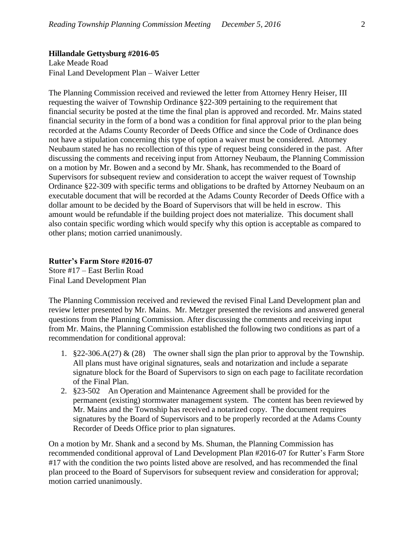#### **Hillandale Gettysburg #2016-05**

Lake Meade Road Final Land Development Plan – Waiver Letter

The Planning Commission received and reviewed the letter from Attorney Henry Heiser, III requesting the waiver of Township Ordinance §22-309 pertaining to the requirement that financial security be posted at the time the final plan is approved and recorded. Mr. Mains stated financial security in the form of a bond was a condition for final approval prior to the plan being recorded at the Adams County Recorder of Deeds Office and since the Code of Ordinance does not have a stipulation concerning this type of option a waiver must be considered. Attorney Neubaum stated he has no recollection of this type of request being considered in the past. After discussing the comments and receiving input from Attorney Neubaum, the Planning Commission on a motion by Mr. Bowen and a second by Mr. Shank, has recommended to the Board of Supervisors for subsequent review and consideration to accept the waiver request of Township Ordinance §22-309 with specific terms and obligations to be drafted by Attorney Neubaum on an executable document that will be recorded at the Adams County Recorder of Deeds Office with a dollar amount to be decided by the Board of Supervisors that will be held in escrow. This amount would be refundable if the building project does not materialize. This document shall also contain specific wording which would specify why this option is acceptable as compared to other plans; motion carried unanimously.

## **Rutter's Farm Store #2016-07**

Store #17 – East Berlin Road Final Land Development Plan

The Planning Commission received and reviewed the revised Final Land Development plan and review letter presented by Mr. Mains. Mr. Metzger presented the revisions and answered general questions from the Planning Commission. After discussing the comments and receiving input from Mr. Mains, the Planning Commission established the following two conditions as part of a recommendation for conditional approval:

- 1.  $\S 22-306.A(27) \& (28)$  The owner shall sign the plan prior to approval by the Township. All plans must have original signatures, seals and notarization and include a separate signature block for the Board of Supervisors to sign on each page to facilitate recordation of the Final Plan.
- 2. §23-502 An Operation and Maintenance Agreement shall be provided for the permanent (existing) stormwater management system. The content has been reviewed by Mr. Mains and the Township has received a notarized copy. The document requires signatures by the Board of Supervisors and to be properly recorded at the Adams County Recorder of Deeds Office prior to plan signatures.

On a motion by Mr. Shank and a second by Ms. Shuman, the Planning Commission has recommended conditional approval of Land Development Plan #2016-07 for Rutter's Farm Store #17 with the condition the two points listed above are resolved, and has recommended the final plan proceed to the Board of Supervisors for subsequent review and consideration for approval; motion carried unanimously.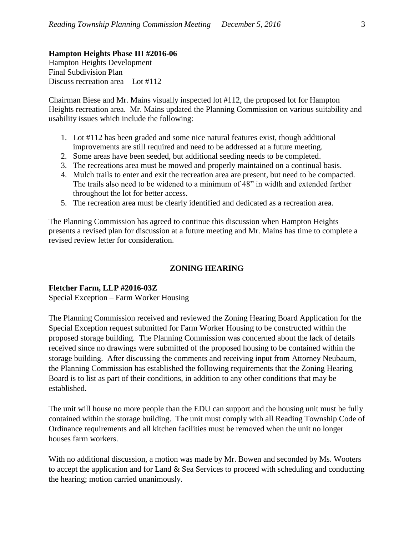### **Hampton Heights Phase III #2016-06**

Hampton Heights Development Final Subdivision Plan Discuss recreation area – Lot #112

Chairman Biese and Mr. Mains visually inspected lot #112, the proposed lot for Hampton Heights recreation area. Mr. Mains updated the Planning Commission on various suitability and usability issues which include the following:

- 1. Lot #112 has been graded and some nice natural features exist, though additional improvements are still required and need to be addressed at a future meeting.
- 2. Some areas have been seeded, but additional seeding needs to be completed.
- 3. The recreations area must be mowed and properly maintained on a continual basis.
- 4. Mulch trails to enter and exit the recreation area are present, but need to be compacted. The trails also need to be widened to a minimum of 48" in width and extended farther throughout the lot for better access.
- 5. The recreation area must be clearly identified and dedicated as a recreation area.

The Planning Commission has agreed to continue this discussion when Hampton Heights presents a revised plan for discussion at a future meeting and Mr. Mains has time to complete a revised review letter for consideration.

# **ZONING HEARING**

#### **Fletcher Farm, LLP #2016-03Z**

Special Exception – Farm Worker Housing

The Planning Commission received and reviewed the Zoning Hearing Board Application for the Special Exception request submitted for Farm Worker Housing to be constructed within the proposed storage building. The Planning Commission was concerned about the lack of details received since no drawings were submitted of the proposed housing to be contained within the storage building. After discussing the comments and receiving input from Attorney Neubaum, the Planning Commission has established the following requirements that the Zoning Hearing Board is to list as part of their conditions, in addition to any other conditions that may be established.

The unit will house no more people than the EDU can support and the housing unit must be fully contained within the storage building. The unit must comply with all Reading Township Code of Ordinance requirements and all kitchen facilities must be removed when the unit no longer houses farm workers.

With no additional discussion, a motion was made by Mr. Bowen and seconded by Ms. Wooters to accept the application and for Land & Sea Services to proceed with scheduling and conducting the hearing; motion carried unanimously.